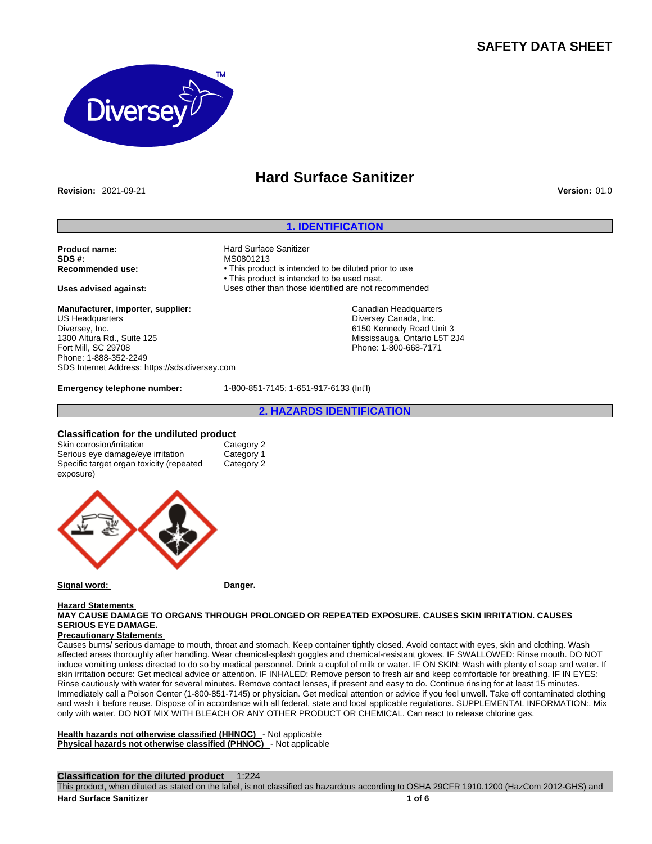# **SAFETY DATA SHEET**



# **Hard Surface Sanitizer**

**Revision:** 2021-09-21 **Version:** 01.0

## **1. IDENTIFICATION**

**Product name: Alternative Spanish Hard Surface Sanitizer**<br> **SDS #:** MS0801213 **SDS #: MS0801213**<br> **Recommended use:** This production of the example of the MS0801213

**Manufacturer, importer, supplier:** US Headquarters Diversey, Inc. 1300 Altura Rd., Suite 125 Fort Mill, SC 29708 Phone: 1-888-352-2249 SDS Internet Address: https://sds.diversey.com

**Emergency telephone number:** 1-800-851-7145; 1-651-917-6133 (Int'l)

• This product is intended to be diluted prior to use • This product is intended to be used neat. **Uses advised against:** Uses other than those identified are not recommended

**2. HAZARDS IDENTIFICATION**

Canadian Headquarters Diversey Canada, Inc. 6150 Kennedy Road Unit 3 Mississauga, Ontario L5T 2J4 Phone: 1-800-668-7171

**Classification for the undiluted product** Skin corrosion/irritation Serious eye damage/eye irritation Category 1 Specific target organ toxicity (repeated exposure) Category 2



**Signal word: Danger.**

#### **Hazard Statements MAY CAUSE DAMAGE TO ORGANS THROUGH PROLONGED OR REPEATED EXPOSURE. CAUSES SKIN IRRITATION. CAUSES SERIOUS EYE DAMAGE.**

#### **Precautionary Statements**

Causes burns/ serious damage to mouth, throat and stomach. Keep container tightly closed. Avoid contact with eyes, skin and clothing. Wash affected areas thoroughly after handling. Wear chemical-splash goggles and chemical-resistant gloves. IF SWALLOWED: Rinse mouth. DO NOT induce vomiting unless directed to do so by medical personnel. Drink a cupful of milk or water. IF ON SKIN: Wash with plenty of soap and water. If skin irritation occurs: Get medical advice or attention. IF INHALED: Remove person to fresh air and keep comfortable for breathing. IF IN EYES: Rinse cautiously with water for several minutes. Remove contact lenses, if present and easy to do. Continue rinsing for at least 15 minutes. Immediately call a Poison Center (1-800-851-7145) or physician. Get medical attention or advice if you feel unwell. Take off contaminated clothing and wash it before reuse. Dispose of in accordance with all federal, state and local applicable regulations. SUPPLEMENTAL INFORMATION:. Mix only with water. DO NOT MIX WITH BLEACH OR ANY OTHER PRODUCT OR CHEMICAL. Can react to release chlorine gas.

**Health hazards not otherwise classified (HHNOC)** - Not applicable **Physical hazards not otherwise classified (PHNOC)** - Not applicable

## **Classification for the diluted product** 1:224

This product, when diluted as stated on the label, is not classified as hazardous according to OSHA 29CFR 1910.1200 (HazCom 2012-GHS) and **Hard Surface Sanitizer 1 of 6**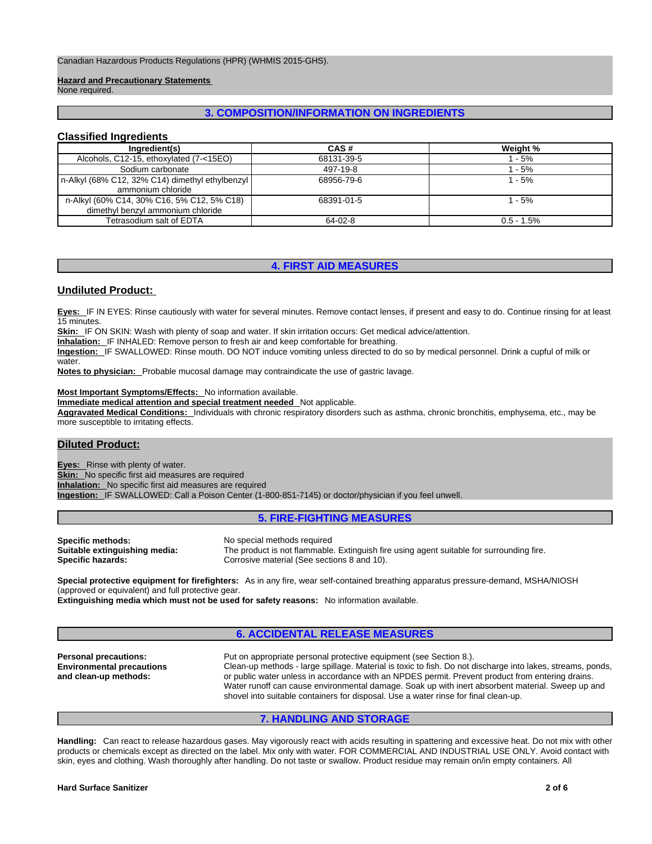Canadian Hazardous Products Regulations (HPR) (WHMIS 2015-GHS).

#### **Hazard and Precautionary Statements**

None required.

## **3. COMPOSITION/INFORMATION ON INGREDIENTS**

## **Classified Ingredients**

| Ingredient(s)                                   | CAS#       | Weight %      |
|-------------------------------------------------|------------|---------------|
| Alcohols, C12-15, ethoxylated (7-<15EO)         | 68131-39-5 | 1 - 5%        |
| Sodium carbonate                                | 497-19-8   | 1 - 5%        |
| n-Alkyl (68% C12, 32% C14) dimethyl ethylbenzyl | 68956-79-6 | $1 - 5%$      |
| ammonium chloride                               |            |               |
| n-Alkyl (60% C14, 30% C16, 5% C12, 5% C18)      | 68391-01-5 | $1 - 5%$      |
| dimethyl benzyl ammonium chloride               |            |               |
| Tetrasodium salt of EDTA                        | 64-02-8    | $0.5 - 1.5\%$ |

## **4. FIRST AID MEASURES**

## **Undiluted Product:**

**Eyes:** IF IN EYES: Rinse cautiously with water for several minutes. Remove contact lenses, if present and easy to do. Continue rinsing for at least 15 minutes.

**Skin:** IF ON SKIN: Wash with plenty of soap and water. If skin irritation occurs: Get medical advice/attention.

**Inhalation:** IF INHALED: Remove person to fresh air and keep comfortable for breathing.

**Ingestion:** IF SWALLOWED: Rinse mouth. DO NOT induce vomiting unless directed to do so by medical personnel. Drink a cupful of milk or water.

**Notes to physician:** Probable mucosal damage may contraindicate the use of gastric lavage.

#### **Most Important Symptoms/Effects:** No information available.

**Immediate medical attention and special treatment needed** Not applicable.

**Aggravated Medical Conditions:** Individuals with chronic respiratory disorders such as asthma, chronic bronchitis, emphysema, etc., may be more susceptible to irritating effects.

## **Diluted Product:**

**Eyes:** Rinse with plenty of water. **Skin:** No specific first aid measures are required **Inhalation:** No specific first aid measures are required **Ingestion:** IF SWALLOWED: Call a Poison Center (1-800-851-7145) or doctor/physician if you feel unwell.

## **5. FIRE-FIGHTING MEASURES**

| Specific methods:             | No special methods required                                                              |
|-------------------------------|------------------------------------------------------------------------------------------|
| Suitable extinguishing media: | The product is not flammable. Extinguish fire using agent suitable for surrounding fire. |
| Specific hazards:             | Corrosive material (See sections 8 and 10).                                              |

**Special protective equipment for firefighters:** As in any fire, wear self-contained breathing apparatus pressure-demand, MSHA/NIOSH (approved or equivalent) and full protective gear.

**Extinguishing media which must not be used for safety reasons:** No information available.

## **6. ACCIDENTAL RELEASE MEASURES**

**Personal precautions:** Put on appropriate personal protective equipment (see Section 8.). **Environmental precautions and clean-up methods:**  Clean-up methods - large spillage. Material is toxic to fish. Do not discharge into lakes, streams, ponds, or public water unless in accordance with an NPDES permit. Prevent product from entering drains. Water runoff can cause environmental damage. Soak up with inert absorbent material. Sweep up and shovel into suitable containers for disposal. Use a water rinse for final clean-up.

## **7. HANDLING AND STORAGE**

**Handling:** Can react to release hazardous gases. May vigorously react with acids resulting in spattering and excessive heat. Do not mix with other products or chemicals except as directed on the label. Mix only with water. FOR COMMERCIAL AND INDUSTRIAL USE ONLY. Avoid contact with skin, eyes and clothing. Wash thoroughly after handling. Do not taste or swallow. Product residue may remain on/in empty containers. All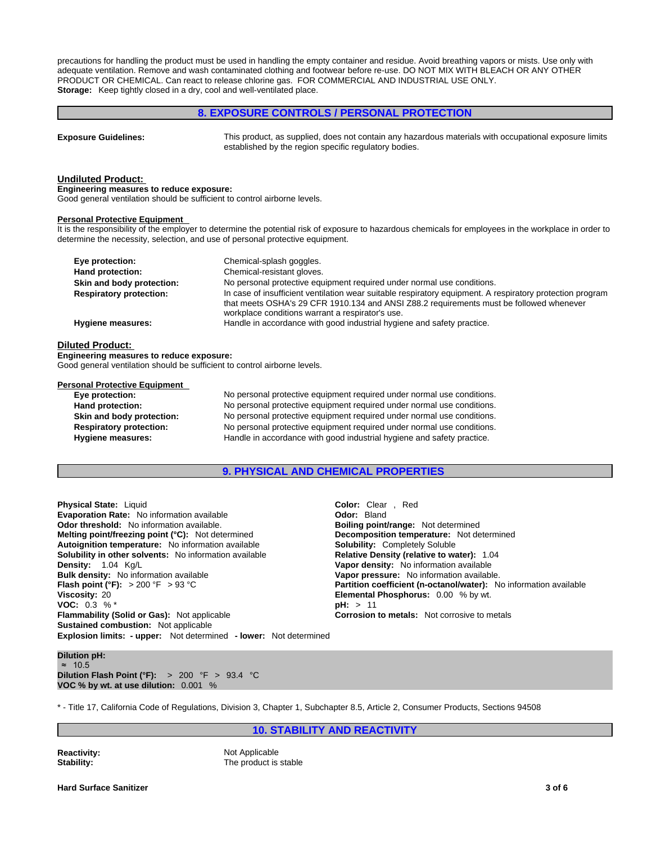precautions for handling the product must be used in handling the empty container and residue. Avoid breathing vapors or mists. Use only with adequate ventilation. Remove and wash contaminated clothing and footwear before re-use. DO NOT MIX WITH BLEACH OR ANY OTHER PRODUCT OR CHEMICAL. Can react to release chlorine gas. FOR COMMERCIAL AND INDUSTRIAL USE ONLY. **Storage:** Keep tightly closed in a dry, cool and well-ventilated place.

## **8. EXPOSURE CONTROLS / PERSONAL PROTECTION Exposure Guidelines:** This product, as supplied, does not contain any hazardous materials with occupational exposure limits established by the region specific regulatory bodies. **Undiluted Product: Engineering measures to reduce exposure:** Good general ventilation should be sufficient to control airborne levels. **Personal Protective Equipment**  It is the responsibility of the employer to determine the potential risk of exposure to hazardous chemicals for employees in the workplace in order to determine the necessity, selection, and use of personal protective equipment. **Eye protection: Chemical-splash goggles. Hand protection:** Chemical-resistant gloves. **Skin and body protection:** No personal protective equipment required under normal use conditions. **Respiratory protection:** In case of insufficient ventilation wear suitable respiratory equipment. A respiratory protection program that meets OSHA's 29 CFR 1910.134 and ANSI Z88.2 requirements must be followed whenever workplace conditions warrant a respirator's use. **Hygiene measures:** Handle in accordance with good industrial hygiene and safety practice. **Diluted Product: Engineering measures to reduce exposure:** Good general ventilation should be sufficient to control airborne levels.

#### **Personal Protective Equipment**

**Eye protection:** No personal protective equipment required under normal use conditions. **Hand protection:** No personal protective equipment required under normal use conditions. **Skin and body protection:** No personal protective equipment required under normal use conditions. **Respiratory protection:** No personal protective equipment required under normal use conditions. **Hygiene measures:** Handle in accordance with good industrial hygiene and safety practice.

## **9. PHYSICAL AND CHEMICAL PROPERTIES**

**Explosion limits: - upper:** Not determined **- lower:** Not determined **Physical State:** Liquid **Color:** Clear , Red **Color:** Clear , Red **Color:** Clear , Red **Color:** Clear , Red **Evaporation Rate:** No information available **Odor threshold:** No information available. **Boiling point/range: Not determined Melting point/freezing point (°C):** Not determined **Melting point/freezing point (°C):** Not determined **Melting point/freezing point (°C):** Not determined **Autoignition temperature:** No information available **Solubility:** Completely Soluble **Solubility in other solvents:** No information available **Relative Density (relative to water):** 1.04 **Density:** 1.04 Kg/L<br> **Bulk density:** No information available **Bulk density:** No information available **Bulk density:** No information available **Bulk density:** No information available **Vapor pressure:** No information available.<br> **Flash point (°F):** > 200 °F > 93 °C **Partition coefficient (n-octanol/water):** N **Viscosity:** 20 **Elemental Phosphorus:** 0.00 % by wt. **VOC:** 0.3 % \* **pH:** > 11 **Flammability (Solid or Gas):** Not applicable **Corrosion to metals:** Not corrosive to metals **Sustained combustion:** Not applicable

**Partition coefficient (n-octanol/water):** No information available

#### **Dilution pH:** ≈ 10.5 **Dilution Flash Point (°F):** > 200 °F > 93.4 °C **VOC % by wt. at use dilution:** 0.001 %

\* - Title 17, California Code of Regulations, Division 3, Chapter 1, Subchapter 8.5, Article 2, Consumer Products, Sections 94508

**10. STABILITY AND REACTIVITY**

**Reactivity:** Not Applicable **Stability:** The product is stable

**Hard Surface Sanitizer 3 of 6**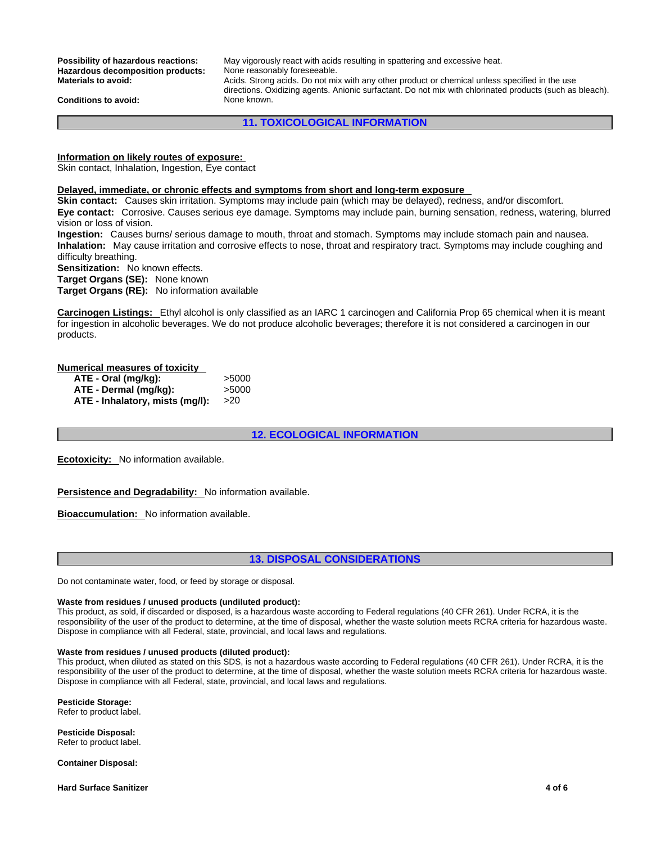**Hazardous decomposition products:**<br>Materials to avoid:

**Possibility of hazardous reactions:** May vigorously react with acids resulting in spattering and excessive heat.<br>Hazardous decomposition products: None reasonably foreseeable. **Materials to avoid:** Acids. Strong acids. Do not mix with any other product or chemical unless specified in the use directions. Oxidizing agents. Anionic surfactant. Do not mix with chlorinated products (such as bleach).

**Conditions to avoid:** None known.

**11. TOXICOLOGICAL INFORMATION**

**Information on likely routes of exposure:**

Skin contact, Inhalation, Ingestion, Eye contact

## **Delayed, immediate, or chronic effects and symptoms from short and long-term exposure**

**Skin contact:** Causes skin irritation. Symptoms may include pain (which may be delayed), redness, and/or discomfort. **Eye contact:** Corrosive. Causes serious eye damage. Symptoms may include pain, burning sensation, redness, watering, blurred vision or loss of vision.

**Ingestion:** Causes burns/ serious damage to mouth, throat and stomach. Symptoms may include stomach pain and nausea. **Inhalation:** May cause irritation and corrosive effects to nose, throat and respiratory tract. Symptoms may include coughing and difficulty breathing.

**Sensitization:** No known effects.

**Target Organs (SE):** None known

**Target Organs (RE):** No information available

**Carcinogen Listings:** Ethylalcohol is only classified as an IARC 1 carcinogen and California Prop 65 chemical when it is meant for ingestion in alcoholic beverages. We do not produce alcoholic beverages; therefore it is not considered a carcinogen in our products.

## **Numerical measures of toxicity**

| ATE - Oral (mg/kg):             | >5000 |
|---------------------------------|-------|
| ATE - Dermal (mg/kg):           | >5000 |
| ATE - Inhalatory, mists (mg/l): | >20   |

## **12. ECOLOGICAL INFORMATION**

**Ecotoxicity:** No information available.

**Persistence and Degradability:** No information available.

**Bioaccumulation:** No information available.

## **13. DISPOSAL CONSIDERATIONS**

Do not contaminate water, food, or feed by storage or disposal.

#### **Waste from residues / unused products (undiluted product):**

This product, as sold, if discarded or disposed, is a hazardous waste according to Federal regulations (40 CFR 261). Under RCRA, it is the responsibility of the user of the product to determine, at the time of disposal, whether the waste solution meets RCRA criteria for hazardous waste. Dispose in compliance with all Federal, state, provincial, and local laws and regulations.

#### **Waste from residues / unused products (diluted product):**

This product, when diluted as stated on this SDS, is not a hazardous waste according to Federal regulations (40 CFR 261). Under RCRA, it is the responsibility of the user of the product to determine, at the time of disposal, whether the waste solution meets RCRA criteria for hazardous waste. Dispose in compliance with all Federal, state, provincial, and local laws and regulations.

**Pesticide Storage:**

Refer to product label.

**Pesticide Disposal:** Refer to product label.

**Container Disposal:**

**Hard Surface Sanitizer 4 of 6**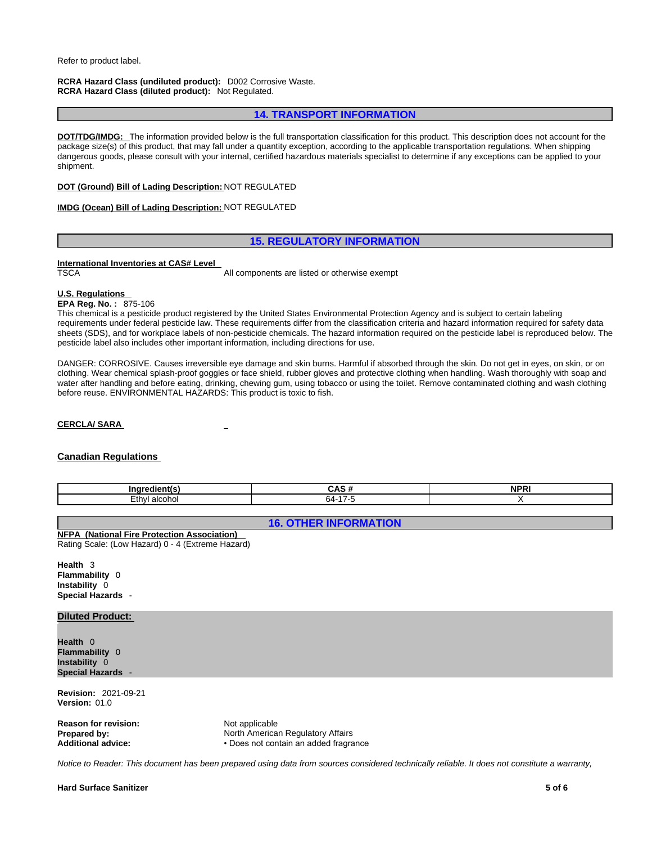#### **RCRA Hazard Class (undiluted product):** D002 Corrosive Waste. **RCRA Hazard Class (diluted product):** Not Regulated.

## **14. TRANSPORT INFORMATION**

**DOT/TDG/IMDG:** The information provided below is the full transportation classification for this product. This description does not account for the package size(s) of this product, that may fall under a quantity exception, according to the applicable transportation regulations. When shipping dangerous goods, please consult with your internal, certified hazardous materials specialist to determine if any exceptions can be applied to your<br>shipment.

## **DOT (Ground) Bill of Lading Description:** NOT REGULATED

## **IMDG (Ocean) Bill of Lading Description:** NOT REGULATED

## **15. REGULATORY INFORMATION**

# **International Inventories at CAS# Level**

All components are listed or otherwise exempt

## **U.S. Regulations**

**EPA Reg. No. :** 875-106

This chemical is a pesticide product registered by the United States Environmental Protection Agency and is subject to certain labeling requirements under federal pesticide law. These requirements differ from the classification criteria and hazard information required for safety data sheets (SDS), and for workplace labels of non-pesticide chemicals. The hazard information required on the pesticide label is reproduced below. The pesticide label also includes other important information, including directions for use.

DANGER: CORROSIVE. Causes irreversible eye damage and skin burns. Harmful if absorbed through the skin. Do not get in eyes, on skin, or on clothing. Wear chemical splash-proof goggles or face shield, rubber gloves and protective clothing when handling. Wash thoroughly with soap and water after handling and before eating, drinking, chewing gum, using tobacco or using the toilet. Remove contaminated clothing and wash clothing before reuse. ENVIRONMENTAL HAZARDS: This product is toxic to fish.

#### **CERCLA/ SARA**

## **Canadian Regulations**

| Ingr                         | - 44<br>- CAS <i></i> | NPP <sup>-</sup><br>тπ. |
|------------------------------|-----------------------|-------------------------|
| $F_{4h}$<br>ᆞ<br>conc<br>⊂u' | ĸд.                   |                         |

## **16. OTHER INFORMATION**

## **NFPA (National Fire Protection Association)**

Rating Scale: (Low Hazard) 0 - 4 (Extreme Hazard)

**Health** 3 **Flammability** 0 **Instability** 0 **Special Hazards** -

## **Diluted Product:**

**Health** 0 **Flammability** 0 **Instability** 0 **Special Hazards** -

**Revision:** 2021-09-21 **Version:** 01.0

**Reason for revision:** Not applicable

**Prepared by: North American Regulatory Affairs**<br> **Additional advice: Note in the Section Property Property Property Property Property Affairs Additional advice:** • Does not contain an added fragrance

*Notice to Reader: This document has been prepared using data from sources considered technically reliable. It does not constitute a warranty,*